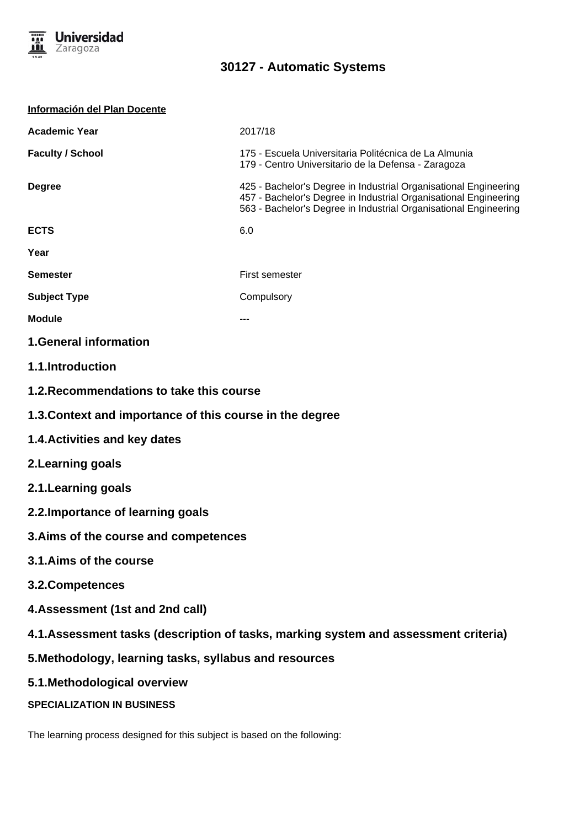

| Información del Plan Docente                             |                                                                                                                                                                                                          |
|----------------------------------------------------------|----------------------------------------------------------------------------------------------------------------------------------------------------------------------------------------------------------|
| <b>Academic Year</b>                                     | 2017/18                                                                                                                                                                                                  |
| <b>Faculty / School</b>                                  | 175 - Escuela Universitaria Politécnica de La Almunia<br>179 - Centro Universitario de la Defensa - Zaragoza                                                                                             |
| <b>Degree</b>                                            | 425 - Bachelor's Degree in Industrial Organisational Engineering<br>457 - Bachelor's Degree in Industrial Organisational Engineering<br>563 - Bachelor's Degree in Industrial Organisational Engineering |
| <b>ECTS</b>                                              | 6.0                                                                                                                                                                                                      |
| Year                                                     |                                                                                                                                                                                                          |
| <b>Semester</b>                                          | First semester                                                                                                                                                                                           |
| <b>Subject Type</b>                                      | Compulsory                                                                                                                                                                                               |
| <b>Module</b>                                            |                                                                                                                                                                                                          |
| <b>1.General information</b>                             |                                                                                                                                                                                                          |
| 1.1.Introduction                                         |                                                                                                                                                                                                          |
| 1.2. Recommendations to take this course                 |                                                                                                                                                                                                          |
| 1.3. Context and importance of this course in the degree |                                                                                                                                                                                                          |
| 1.4. Activities and key dates                            |                                                                                                                                                                                                          |
| 2. Learning goals                                        |                                                                                                                                                                                                          |
| 2.1. Learning goals                                      |                                                                                                                                                                                                          |
| 2.2. Importance of learning goals                        |                                                                                                                                                                                                          |
| 3. Aims of the course and competences                    |                                                                                                                                                                                                          |
| 3.1.Aims of the course                                   |                                                                                                                                                                                                          |
| 3.2. Competences                                         |                                                                                                                                                                                                          |
| 4. Assessment (1st and 2nd call)                         |                                                                                                                                                                                                          |
|                                                          | 4.1. Assessment tasks (description of tasks, marking system and assessment criteria)                                                                                                                     |
| 5. Methodology, learning tasks, syllabus and resources   |                                                                                                                                                                                                          |
| 5.1. Methodological overview                             |                                                                                                                                                                                                          |
| <b>SPECIALIZATION IN BUSINESS</b>                        |                                                                                                                                                                                                          |
|                                                          |                                                                                                                                                                                                          |

The learning process designed for this subject is based on the following: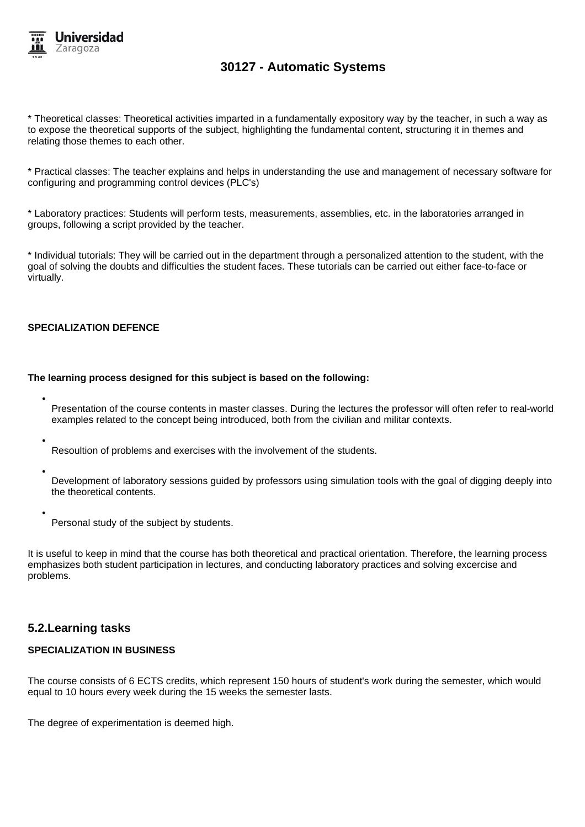

\* Theoretical classes: Theoretical activities imparted in a fundamentally expository way by the teacher, in such a way as to expose the theoretical supports of the subject, highlighting the fundamental content, structuring it in themes and relating those themes to each other.

\* Practical classes: The teacher explains and helps in understanding the use and management of necessary software for configuring and programming control devices (PLC's)

\* Laboratory practices: Students will perform tests, measurements, assemblies, etc. in the laboratories arranged in groups, following a script provided by the teacher.

\* Individual tutorials: They will be carried out in the department through a personalized attention to the student, with the goal of solving the doubts and difficulties the student faces. These tutorials can be carried out either face-to-face or virtually.

### **SPECIALIZATION DEFENCE**

#### **The learning process designed for this subject is based on the following:**

- Presentation of the course contents in master classes. During the lectures the professor will often refer to real-world examples related to the concept being introduced, both from the civilian and militar contexts.
- Resoultion of problems and exercises with the involvement of the students.
- Development of laboratory sessions guided by professors using simulation tools with the goal of digging deeply into the theoretical contents.
- Personal study of the subject by students.

It is useful to keep in mind that the course has both theoretical and practical orientation. Therefore, the learning process emphasizes both student participation in lectures, and conducting laboratory practices and solving excercise and problems.

### **5.2.Learning tasks**

#### **SPECIALIZATION IN BUSINESS**

The course consists of 6 ECTS credits, which represent 150 hours of student's work during the semester, which would equal to 10 hours every week during the 15 weeks the semester lasts.

The degree of experimentation is deemed high.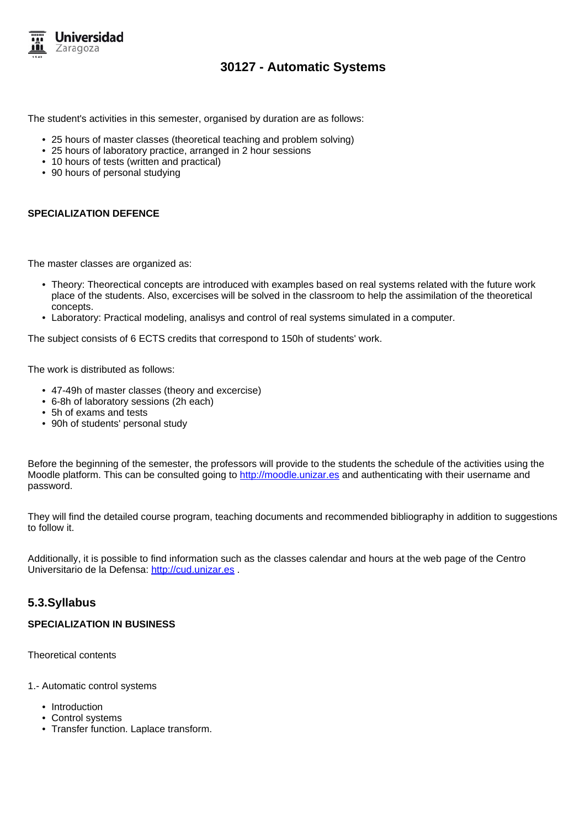

The student's activities in this semester, organised by duration are as follows:

- 25 hours of master classes (theoretical teaching and problem solving)
- 25 hours of laboratory practice, arranged in 2 hour sessions
- 10 hours of tests (written and practical)
- 90 hours of personal studying

### **SPECIALIZATION DEFENCE**

The master classes are organized as:

- Theory: Theorectical concepts are introduced with examples based on real systems related with the future work place of the students. Also, excercises will be solved in the classroom to help the assimilation of the theoretical concepts.
- Laboratory: Practical modeling, analisys and control of real systems simulated in a computer.

The subject consists of 6 ECTS credits that correspond to 150h of students' work.

The work is distributed as follows:

- 47-49h of master classes (theory and excercise)
- 6-8h of laboratory sessions (2h each)
- 5h of exams and tests
- 90h of students' personal study

Before the beginning of the semester, the professors will provide to the students the schedule of the activities using the Moodle platform. This can be consulted going to http://moodle.unizar.es and authenticating with their username and password.

They will find the detailed course program, teaching documents and recommended bibliography in addition to suggestions to follow it.

Additionally, it is possible to find information such as the classes calendar and hours at the web page of the Centro Universitario de la Defensa: http://cud.unizar.es .

### **5.3.Syllabus**

#### **SPECIALIZATION IN BUSINESS**

Theoretical contents

- 1.- Automatic control systems
	- Introduction
	- Control systems
	- Transfer function. Laplace transform.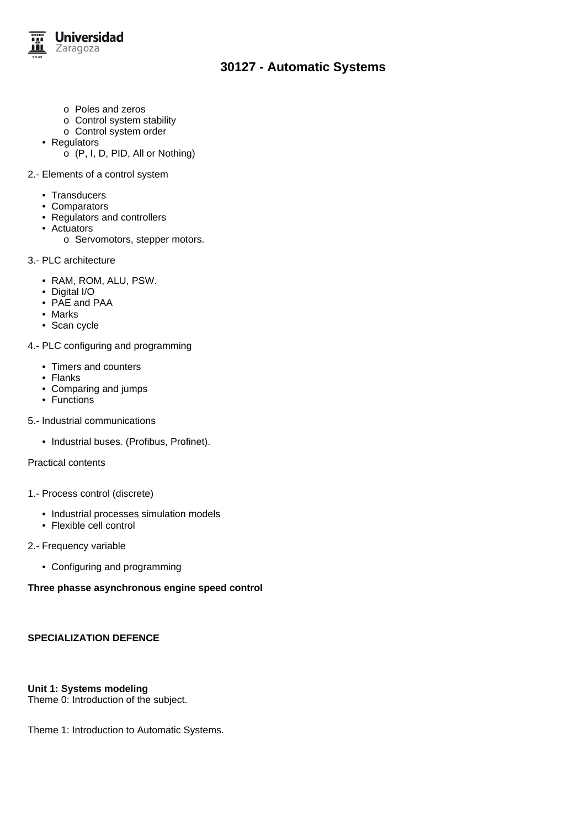

- o Poles and zeros
- o Control system stability
- o Control system order
- Regulators
	- o (P, I, D, PID, All or Nothing)
- 2.- Elements of a control system
	- Transducers
	- Comparators
	- Regulators and controllers
	- Actuators
		- o Servomotors, stepper motors.
- 3.- PLC architecture
	- RAM, ROM, ALU, PSW.
	- Digital I/O
	- PAE and PAA
	- Marks
	- Scan cycle
- 4.- PLC configuring and programming
	- Timers and counters
	- Flanks
	- Comparing and jumps
	- Functions
- 5.- Industrial communications
	- Industrial buses. (Profibus, Profinet).

Practical contents

- 1.- Process control (discrete)
	- Industrial processes simulation models
	- Flexible cell control
- 2.- Frequency variable
	- Configuring and programming

### **Three phasse asynchronous engine speed control**

# **SPECIALIZATION DEFENCE**

# **Unit 1: Systems modeling**

Theme 0: Introduction of the subject.

Theme 1: Introduction to Automatic Systems.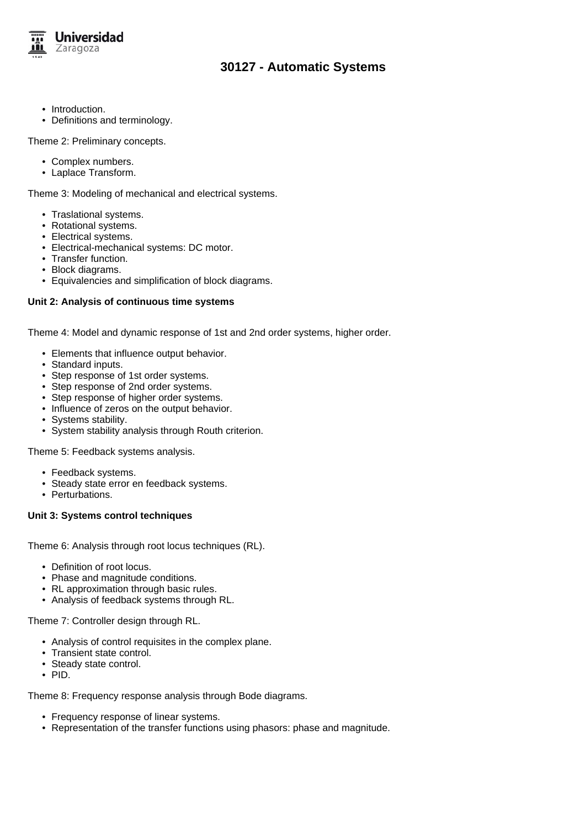

- Introduction.
- Definitions and terminology.

Theme 2: Preliminary concepts.

- Complex numbers.
- Laplace Transform.

Theme 3: Modeling of mechanical and electrical systems.

- Traslational systems.
- Rotational systems.
- Electrical systems.
- Electrical-mechanical systems: DC motor.
- Transfer function.
- Block diagrams.
- Equivalencies and simplification of block diagrams.

### **Unit 2: Analysis of continuous time systems**

Theme 4: Model and dynamic response of 1st and 2nd order systems, higher order.

- Elements that influence output behavior.
- Standard inputs.
- Step response of 1st order systems.
- Step response of 2nd order systems.
- Step response of higher order systems.
- Influence of zeros on the output behavior.
- Systems stability.
- System stability analysis through Routh criterion.

Theme 5: Feedback systems analysis.

- Feedback systems.
- Steady state error en feedback systems.
- Perturbations.

### **Unit 3: Systems control techniques**

Theme 6: Analysis through root locus techniques (RL).

- Definition of root locus.
- Phase and magnitude conditions.
- RL approximation through basic rules.
- Analysis of feedback systems through RL.

Theme 7: Controller design through RL.

- Analysis of control requisites in the complex plane.
- Transient state control.
- Steady state control.
- PID.

Theme 8: Frequency response analysis through Bode diagrams.

- Frequency response of linear systems.
- Representation of the transfer functions using phasors: phase and magnitude.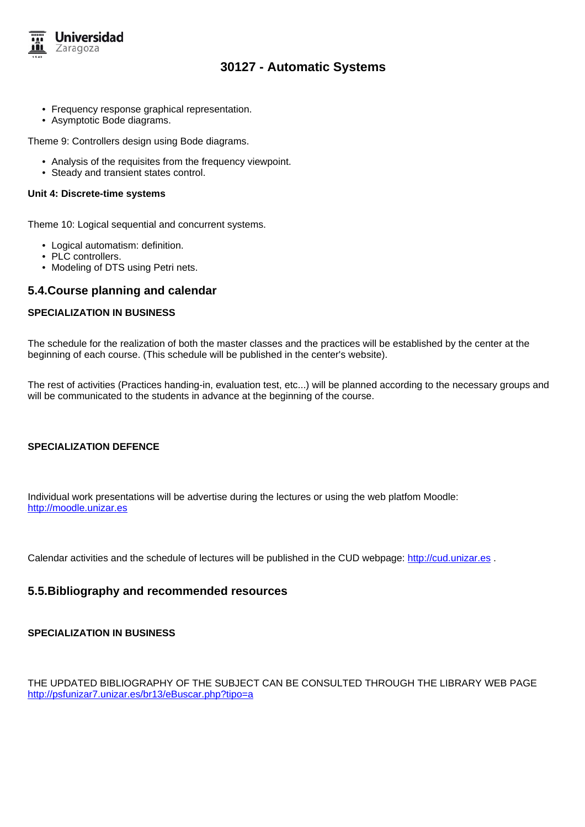

- Frequency response graphical representation.
- Asymptotic Bode diagrams.

Theme 9: Controllers design using Bode diagrams.

- Analysis of the requisites from the frequency viewpoint.
- Steady and transient states control.

#### **Unit 4: Discrete-time systems**

Theme 10: Logical sequential and concurrent systems.

- Logical automatism: definition.
- PLC controllers.
- Modeling of DTS using Petri nets.

### **5.4.Course planning and calendar**

### **SPECIALIZATION IN BUSINESS**

The schedule for the realization of both the master classes and the practices will be established by the center at the beginning of each course. (This schedule will be published in the center's website).

The rest of activities (Practices handing-in, evaluation test, etc...) will be planned according to the necessary groups and will be communicated to the students in advance at the beginning of the course.

### **SPECIALIZATION DEFENCE**

Individual work presentations will be advertise during the lectures or using the web platfom Moodle: http://moodle.unizar.es

Calendar activities and the schedule of lectures will be published in the CUD webpage: http://cud.unizar.es.

### **5.5.Bibliography and recommended resources**

### **SPECIALIZATION IN BUSINESS**

THE UPDATED BIBLIOGRAPHY OF THE SUBJECT CAN BE CONSULTED THROUGH THE LIBRARY WEB PAGE http://psfunizar7.unizar.es/br13/eBuscar.php?tipo=a